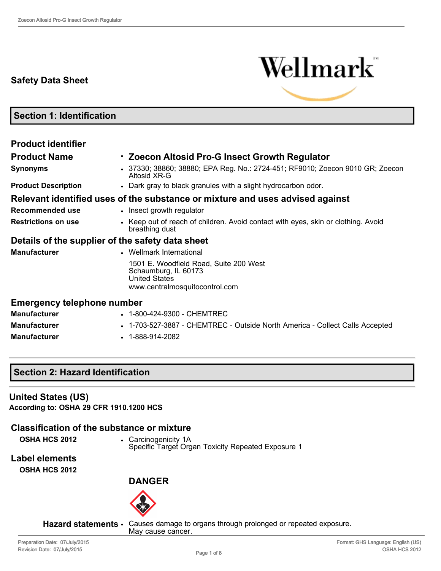# **Safety Data Sheet**



**Section 1: Identification**

| <b>Product identifier</b>                        |                                                                                                                          |
|--------------------------------------------------|--------------------------------------------------------------------------------------------------------------------------|
| <b>Product Name</b>                              | • Zoecon Altosid Pro-G Insect Growth Regulator                                                                           |
| <b>Synonyms</b>                                  | 37330; 38860; 38880; EPA Reg. No.: 2724-451; RF9010; Zoecon 9010 GR; Zoecon<br>Altosid XR-G                              |
| <b>Product Description</b>                       | • Dark gray to black granules with a slight hydrocarbon odor.                                                            |
|                                                  | Relevant identified uses of the substance or mixture and uses advised against                                            |
| Recommended use                                  | • Insect growth regulator                                                                                                |
| <b>Restrictions on use</b>                       | • Keep out of reach of children. Avoid contact with eyes, skin or clothing. Avoid<br>breathing dust                      |
| Details of the supplier of the safety data sheet |                                                                                                                          |
| <b>Manufacturer</b>                              | • Wellmark International                                                                                                 |
|                                                  | 1501 E. Woodfield Road, Suite 200 West<br>Schaumburg, IL 60173<br><b>United States</b><br>www.centralmosquitocontrol.com |
| <b>Emergency telephone number</b>                |                                                                                                                          |
| <b>Manufacturer</b>                              | • 1-800-424-9300 - CHEMTREC                                                                                              |

**Manufacturer • • 1-703-527-3887 - CHEMTREC - Outside North America - Collect Calls Accepted Manufacturer** • 1-888-914-2082

# **Section 2: Hazard Identification**

#### **United States (US)**

**According to: OSHA 29 CFR 1910.1200 HCS**

**Classification of the substance or mixture**

**OSHA HCS 2012** • Carcinogenicity 1A Specific Target Organ Toxicity Repeated Exposure 1

**Label elements**

**OSHA HCS 2012**

**DANGER**



**Hazard statements** • Causes damage to organs through prolonged or repeated exposure. May cause cancer.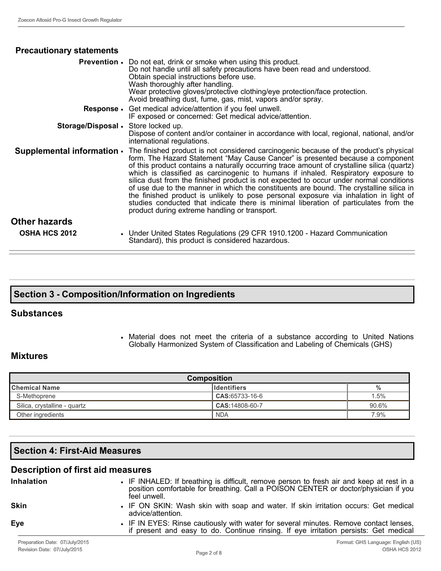| <b>Precautionary statements</b>              |                                                                                                                                                                                                                                                                                                                                                                                                                                                                                                                                                                                                                                                                                                                                                                                   |
|----------------------------------------------|-----------------------------------------------------------------------------------------------------------------------------------------------------------------------------------------------------------------------------------------------------------------------------------------------------------------------------------------------------------------------------------------------------------------------------------------------------------------------------------------------------------------------------------------------------------------------------------------------------------------------------------------------------------------------------------------------------------------------------------------------------------------------------------|
|                                              | <b>Prevention.</b> Do not eat, drink or smoke when using this product.<br>Do not handle until all safety precautions have been read and understood.<br>Obtain special instructions before use.<br>Wash thoroughly after handling.<br>Wear protective gloves/protective clothing/eye protection/face protection.<br>Avoid breathing dust, fume, gas, mist, vapors and/or spray.                                                                                                                                                                                                                                                                                                                                                                                                    |
|                                              | <b>Response</b> • Get medical advice/attention if you feel unwell.<br>IF exposed or concerned: Get medical advice/attention.                                                                                                                                                                                                                                                                                                                                                                                                                                                                                                                                                                                                                                                      |
| Storage/Disposal • Store locked up.          | Dispose of content and/or container in accordance with local, regional, national, and/or<br>international regulations.                                                                                                                                                                                                                                                                                                                                                                                                                                                                                                                                                                                                                                                            |
| Supplemental information .                   | The finished product is not considered carcinogenic because of the product's physical<br>form. The Hazard Statement "May Cause Cancer" is presented because a component<br>of this product contains a naturally occurring trace amount of crystalline silica (quartz)<br>which is classified as carcinogenic to humans if inhaled. Respiratory exposure to<br>silica dust from the finished product is not expected to occur under normal conditions<br>of use due to the manner in which the constituents are bound. The crystalline silica in<br>the finished product is unlikely to pose personal exposure via inhalation in light of<br>studies conducted that indicate there is minimal liberation of particulates from the<br>product during extreme handling or transport. |
| <b>Other hazards</b><br><b>OSHA HCS 2012</b> | • Under United States Regulations (29 CFR 1910.1200 - Hazard Communication<br>Standard), this product is considered hazardous.                                                                                                                                                                                                                                                                                                                                                                                                                                                                                                                                                                                                                                                    |

# **Section 3 Composition/Information on Ingredients**

#### **Substances**

• Material does not meet the criteria of a substance according to United Nations Globally Harmonized System of Classification and Labeling of Chemicals (GHS)

### **Mixtures**

| <b>Composition</b>           |                     |       |  |
|------------------------------|---------------------|-------|--|
| <b>Chemical Name</b>         | <b>I</b> dentifiers |       |  |
| S-Methoprene                 | $CAS: 65733-16-6$   | 1.5%  |  |
| Silica, crystalline - quartz | $CAS:14808-60-7$    | 90.6% |  |
| Other ingredients            | <b>NDA</b>          | 7.9%  |  |

# **Section 4: First-Aid Measures**

# **Description of first aid measures**

| <b>Inhalation</b> | • IF INHALED: If breathing is difficult, remove person to fresh air and keep at rest in a<br>position comfortable for breathing. Call a POISON CENTER or doctor/physician if you<br>feel unwell. |
|-------------------|--------------------------------------------------------------------------------------------------------------------------------------------------------------------------------------------------|
| <b>Skin</b>       | • IF ON SKIN: Wash skin with soap and water. If skin irritation occurs: Get medical<br>advice/attention.                                                                                         |
| Eye               | • IF IN EYES: Rinse cautiously with water for several minutes. Remove contact lenses,<br>if present and easy to do. Continue rinsing. If eye irritation persists: Get medical                    |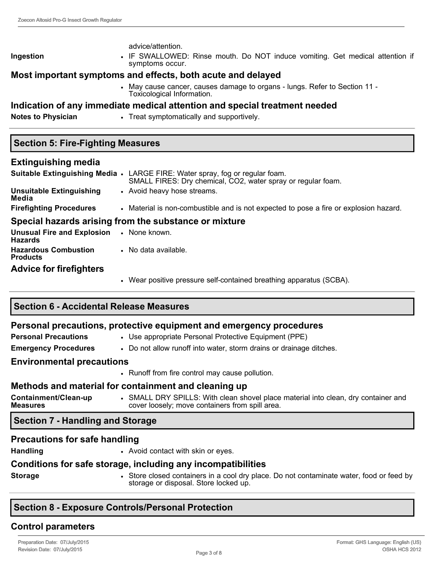#### advice/attention.

**Ingestion** • IF SWALLOWED: Rinse mouth. Do NOT induce vomiting. Get medical attention if symptoms occur.

# **Most important symptoms and effects, both acute and delayed**

• May cause cancer, causes damage to organs - lungs. Refer to Section 11 -Toxicological Information.

# **Indication of any immediate medical attention and special treatment needed**

**Notes to Physician • Treat symptomatically and supportively.** 

# **Section 5: Fire-Fighting Measures**

# **Extinguishing media**

|                                                                   | Suitable Extinguishing Media • LARGE FIRE: Water spray, fog or regular foam.<br>SMALL FIRES: Dry chemical, CO2, water spray or regular foam. |
|-------------------------------------------------------------------|----------------------------------------------------------------------------------------------------------------------------------------------|
| <b>Unsuitable Extinguishing</b><br>Media                          | • Avoid heavy hose streams.                                                                                                                  |
| <b>Firefighting Procedures</b>                                    | • Material is non-combustible and is not expected to pose a fire or explosion hazard.                                                        |
|                                                                   | Special hazards arising from the substance or mixture                                                                                        |
| <b>Unusual Fire and Explosion • None known.</b><br><b>Hazards</b> |                                                                                                                                              |
| <b>Hazardous Combustion</b><br><b>Products</b>                    | • No data available.                                                                                                                         |
| <b>Advice for firefighters</b>                                    |                                                                                                                                              |

• Wear positive pressure self-contained breathing apparatus (SCBA).

# **Section 6 Accidental Release Measures**

#### **Personal precautions, protective equipment and emergency procedures**

- **Personal Precautions** Use appropriate Personal Protective Equipment (PPE)
- **Emergency Procedures** Do not allow runoff into water, storm drains or drainage ditches.

### **Environmental precautions**

• Runoff from fire control may cause pollution.

# **Methods and material for containment and cleaning up**

| Containment/Clean-up<br>cover loosely; move containers from spill area.<br><b>Measures</b> | SMALL DRY SPILLS: With clean shovel place material into clean, dry container and |
|--------------------------------------------------------------------------------------------|----------------------------------------------------------------------------------|
|--------------------------------------------------------------------------------------------|----------------------------------------------------------------------------------|

# **Section 7 - Handling and Storage**

# **Precautions for safe handling**

Handling **• Avoid contact with skin or eyes.** 

# **Conditions for safe storage, including any incompatibilities**

**Storage** • Store closed containers in a cool dry place. Do not contaminate water, food or feed by storage or disposal. Store locked up.

# **Section 8 Exposure Controls/Personal Protection**

# **Control parameters**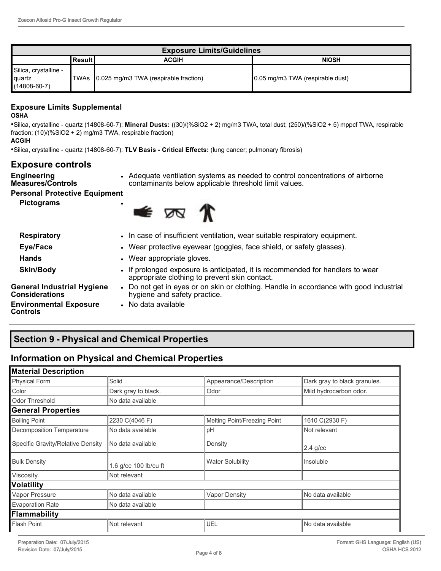| <b>Exposure Limits/Guidelines</b>                      |            |                                            |                                  |  |
|--------------------------------------------------------|------------|--------------------------------------------|----------------------------------|--|
|                                                        | l Result I | <b>ACGIH</b>                               | <b>NIOSH</b>                     |  |
| Silica, crystalline -<br>∎quartz<br>$(14808 - 60 - 7)$ |            | TWAs 0.025 mg/m3 TWA (respirable fraction) | 0.05 mg/m3 TWA (respirable dust) |  |

#### **Exposure Limits Supplemental OSHA**

•Silica, crystalline quartz (14808607): **Mineral Dusts:** ((30)/(%SiO2 + 2) mg/m3 TWA, total dust; (250)/(%SiO2 + 5) mppcf TWA, respirable fraction; (10)/(%SiO2 + 2) mg/m3 TWA, respirable fraction) **ACGIH**

• Silica, crystalline - quartz (14808-60-7): TLV Basis - Critical Effects: (lung cancer; pulmonary fibrosis)

#### **Exposure controls**

**Engineering** 

- **Measures/Controls**
- Adequate ventilation systems as needed to control concentrations of airborne contaminants below applicable threshold limit values.

**Personal Protective Equipment**

**Pictograms** •



| <b>Respiratory</b>                                         | • In case of insufficient ventilation, wear suitable respiratory equipment.                                                     |
|------------------------------------------------------------|---------------------------------------------------------------------------------------------------------------------------------|
| Eye/Face                                                   | • Wear protective eyewear (goggles, face shield, or safety glasses).                                                            |
| <b>Hands</b>                                               | • Wear appropriate gloves.                                                                                                      |
| <b>Skin/Body</b>                                           | • If prolonged exposure is anticipated, it is recommended for handlers to wear<br>appropriate clothing to prevent skin contact. |
| <b>General Industrial Hygiene</b><br><b>Considerations</b> | • Do not get in eyes or on skin or clothing. Handle in accordance with good industrial<br>hygiene and safety practice.          |
| <b>Environmental Exposure</b><br><b>Controls</b>           | • No data available                                                                                                             |

**Section 9 Physical and Chemical Properties**

# **Information on Physical and Chemical Properties**

| <b>Material Description</b>       |                       |                              |                              |
|-----------------------------------|-----------------------|------------------------------|------------------------------|
| Physical Form                     | Solid                 | Appearance/Description       | Dark gray to black granules. |
| Color                             | Dark gray to black.   | Odor                         | Mild hydrocarbon odor.       |
| Odor Threshold                    | No data available     |                              |                              |
| <b>General Properties</b>         |                       |                              |                              |
| <b>Boiling Point</b>              | 2230 C(4046 F)        | Melting Point/Freezing Point | 1610 C(2930 F)               |
| Decomposition Temperature         | No data available     | pH                           | Not relevant                 |
| Specific Gravity/Relative Density | l No data available   | Density                      | $2.4$ g/cc                   |
| <b>Bulk Density</b>               | 1.6 g/cc 100 lb/cu ft | <b>Water Solubility</b>      | Insoluble                    |
| Viscosity                         | Not relevant          |                              |                              |
| <b>Volatility</b>                 |                       |                              |                              |
| Vapor Pressure                    | No data available     | <b>Vapor Density</b>         | No data available            |
| <b>Evaporation Rate</b>           | No data available     |                              |                              |
| Flammability                      |                       |                              |                              |
| Flash Point                       | Not relevant          | UEL                          | No data available            |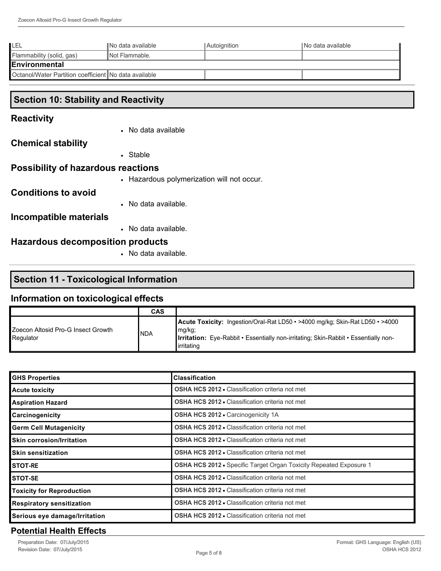| ILEL                                                     | INo data available | <b>Autoignition</b> | INo data available |
|----------------------------------------------------------|--------------------|---------------------|--------------------|
| Flammability (solid, gas)                                | INot Flammable.    |                     |                    |
| IEnvironmental                                           |                    |                     |                    |
| l Octanol/Water Partition coefficient INo data available |                    |                     |                    |

# **Section 10: Stability and Reactivity**

### **Reactivity**

• No data available

#### **Chemical stability**

• Stable

## **Possibility of hazardous reactions**

• Hazardous polymerization will not occur.

### **Conditions to avoid**

• No data available.

### **Incompatible materials**

• No data available.

# **Hazardous decomposition products**

• No data available.

# **Section 11 - Toxicological Information**

# **Information on toxicological effects**

|                                                 | <b>CAS</b> |                                                                                                                                                                                                           |
|-------------------------------------------------|------------|-----------------------------------------------------------------------------------------------------------------------------------------------------------------------------------------------------------|
| Zoecon Altosid Pro-G Insect Growth<br>Regulator | <b>NDA</b> | <b>Acute Toxicity:</b> Ingestion/Oral-Rat LD50 • >4000 mg/kg; Skin-Rat LD50 • >4000<br>mg/kg;<br><b>Irritation:</b> Eye-Rabbit • Essentially non-irritating; Skin-Rabbit • Essentially non-<br>irritating |

| <b>GHS Properties</b>            | <b>Classification</b>                                                     |
|----------------------------------|---------------------------------------------------------------------------|
| <b>Acute toxicity</b>            | <b>OSHA HCS 2012 - Classification criteria not met</b>                    |
| <b>Aspiration Hazard</b>         | <b>OSHA HCS 2012 • Classification criteria not met</b>                    |
| <b>Carcinogenicity</b>           | <b>OSHA HCS 2012 • Carcinogenicity 1A</b>                                 |
| <b>Germ Cell Mutagenicity</b>    | <b>OSHA HCS 2012 •</b> Classification criteria not met                    |
| <b>Skin corrosion/Irritation</b> | <b>OSHA HCS 2012 • Classification criteria not met</b>                    |
| <b>Skin sensitization</b>        | <b>OSHA HCS 2012 • Classification criteria not met</b>                    |
| <b>STOT-RE</b>                   | <b>OSHA HCS 2012 -</b> Specific Target Organ Toxicity Repeated Exposure 1 |
| <b>STOT-SE</b>                   | <b>OSHA HCS 2012 • Classification criteria not met</b>                    |
| <b>Toxicity for Reproduction</b> | <b>OSHA HCS 2012 • Classification criteria not met</b>                    |
| <b>Respiratory sensitization</b> | <b>OSHA HCS 2012 - Classification criteria not met</b>                    |
| Serious eye damage/Irritation    | <b>OSHA HCS 2012 • Classification criteria not met</b>                    |

### **Potential Health Effects**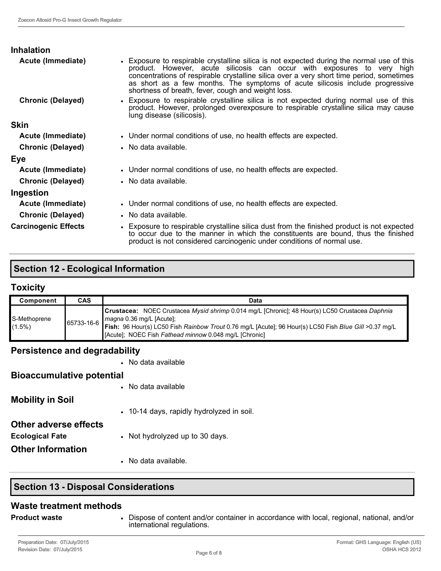| <b>Inhalation</b><br>Acute (Immediate) | • Exposure to respirable crystalline silica is not expected during the normal use of this<br>product. However, acute silicosis can occur with exposures to very high<br>concentrations of respirable crystalline silica over a very short time period, sometimes<br>as short as a few months. The symptoms of acute silicosis include progressive<br>shortness of breath, fever, cough and weight loss. |
|----------------------------------------|---------------------------------------------------------------------------------------------------------------------------------------------------------------------------------------------------------------------------------------------------------------------------------------------------------------------------------------------------------------------------------------------------------|
| <b>Chronic (Delayed)</b>               | • Exposure to respirable crystalline silica is not expected during normal use of this<br>product. However, prolonged overexposure to respirable crystalline silica may cause<br>lung disease (silicosis).                                                                                                                                                                                               |
| <b>Skin</b>                            |                                                                                                                                                                                                                                                                                                                                                                                                         |
| Acute (Immediate)                      | • Under normal conditions of use, no health effects are expected.                                                                                                                                                                                                                                                                                                                                       |
| <b>Chronic (Delayed)</b>               | • No data available.                                                                                                                                                                                                                                                                                                                                                                                    |
| Eye                                    |                                                                                                                                                                                                                                                                                                                                                                                                         |
| Acute (Immediate)                      | • Under normal conditions of use, no health effects are expected.                                                                                                                                                                                                                                                                                                                                       |
| <b>Chronic (Delayed)</b>               | • No data available.                                                                                                                                                                                                                                                                                                                                                                                    |
| Ingestion                              |                                                                                                                                                                                                                                                                                                                                                                                                         |
| Acute (Immediate)                      | • Under normal conditions of use, no health effects are expected.                                                                                                                                                                                                                                                                                                                                       |
| <b>Chronic (Delayed)</b>               | • No data available.                                                                                                                                                                                                                                                                                                                                                                                    |
| <b>Carcinogenic Effects</b>            | • Exposure to respirable crystalline silica dust from the finished product is not expected<br>to occur due to the manner in which the constituents are bound, thus the finished<br>product is not considered carcinogenic under conditions of normal use.                                                                                                                                               |

# **Section 12 - Ecological Information**

# **Toxicity**

| <b>Component</b>          | <b>CAS</b> | Data                                                                                                                                                                                                                                                                                                                              |
|---------------------------|------------|-----------------------------------------------------------------------------------------------------------------------------------------------------------------------------------------------------------------------------------------------------------------------------------------------------------------------------------|
| S-Methoprene<br>$(1.5\%)$ |            | Crustacea: NOEC Crustacea Mysid shrimp 0.014 mg/L [Chronic]; 48 Hour(s) LC50 Crustacea Daphnia<br>65733-16-6 <i>magna</i> 0.36 mg/L [Acute];<br>65733-16-6 <b>Fish:</b> 96 Hour(s) LC50 Fish Rainbow Trout 0.76 mg/L [Acute]; 96 Hour(s) LC50 Fish Blue Gill >0.37 mg/L<br>[Acute]; NOEC Fish Fathead minnow 0.048 mg/L [Chronic] |

# **Persistence and degradability**

|                                  | • No data available                       |
|----------------------------------|-------------------------------------------|
| <b>Bioaccumulative potential</b> |                                           |
|                                  | • No data available                       |
| <b>Mobility in Soil</b>          |                                           |
|                                  | • 10-14 days, rapidly hydrolyzed in soil. |
| <b>Other adverse effects</b>     |                                           |
| <b>Ecological Fate</b>           | • Not hydrolyzed up to 30 days.           |
| <b>Other Information</b>         |                                           |
|                                  | • No data available.                      |

# **Section 13 - Disposal Considerations**

#### **Waste treatment methods**

**Product waste • Dispose of content and/or container in accordance with local, regional, national, and/or** international regulations.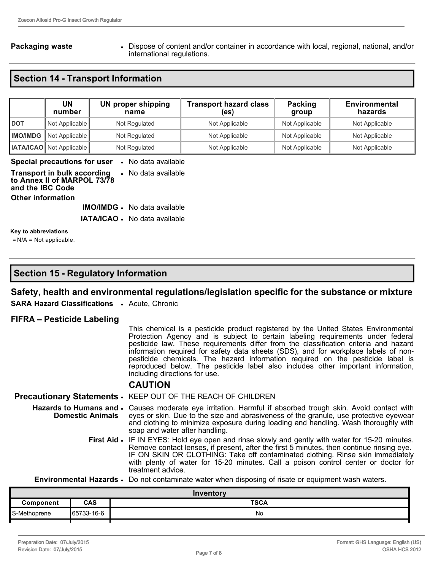**Packaging waste • Dispose of content and/or container in accordance with local, regional, national, and/or conta** international regulations.

# **Section 14 Transport Information**

|                 | UN<br>number                    | <b>UN proper shipping</b><br>name | <b>Transport hazard class</b><br>(es) | Packing<br>group | <b>Environmental</b><br>hazards |
|-----------------|---------------------------------|-----------------------------------|---------------------------------------|------------------|---------------------------------|
| <b>IDOT</b>     | Not Applicable                  | Not Regulated                     | Not Applicable                        | Not Applicable   | Not Applicable                  |
| <b>IMO/IMDG</b> | Not Applicable                  | Not Regulated                     | Not Applicable                        | Not Applicable   | Not Applicable                  |
|                 | <b>IATA/ICAO</b> Not Applicable | Not Regulated                     | Not Applicable                        | Not Applicable   | Not Applicable                  |

#### **Special precautions for user** • No data available

| <b>Transport in bulk according • No data available</b><br>to Annex II of MARPOL 73/78<br>and the IBC Code |  |  |  |
|-----------------------------------------------------------------------------------------------------------|--|--|--|
| <b>Other information</b>                                                                                  |  |  |  |

**IMO/IMDG** • No data available

**IATA/ICAO** • No data available

#### **Key to abbreviations**

= N/A = Not applicable.

### **Section 15 - Regulatory Information**

#### **Safety, health and environmental regulations/legislation specific for the substance or mixture**

**SARA Hazard Classifications** • Acute, Chronic

#### **FIFRA – Pesticide Labeling**

This chemical is a pesticide product registered by the United States Environmental Protection Agency and is subject to certain labeling requirements under federal pesticide law. These requirements differ from the classification criteria and hazard information required for safety data sheets (SDS), and for workplace labels of nonpesticide chemicals. The hazard information required on the pesticide label is reproduced below. The pesticide label also includes other important information, including directions for use.

#### **CAUTION**

**Precautionary Statements** • KEEP OUT OF THE REACH OF CHILDREN **Hazards to Humans and Domestic Animals** • Causes moderate eye irritation. Harmful if absorbed trough skin. Avoid contact with eyes or skin. Due to the size and abrasiveness of the granule, use protective eyewear and clothing to minimize exposure during loading and handling. Wash thoroughly with soap and water after handling. **First Aid •** IF IN EYES: Hold eye open and rinse slowly and gently with water for 15-20 minutes. Remove contact lenses, if present, after the first 5 minutes, then continue rinsing eye. IF ON SKIN OR CLOTHING: Take off contaminated clothing. Rinse skin immediately

with plenty of water for 15-20 minutes. Call a poison control center or doctor for treatment advice.

**Environmental Hazards** • Do not contaminate water when disposing of risate or equipment wash waters.

| Inventory     |            |             |
|---------------|------------|-------------|
| Component     | <b>CAS</b> | <b>TSCA</b> |
| 'S-Methoprene | 65733-16-6 | No          |